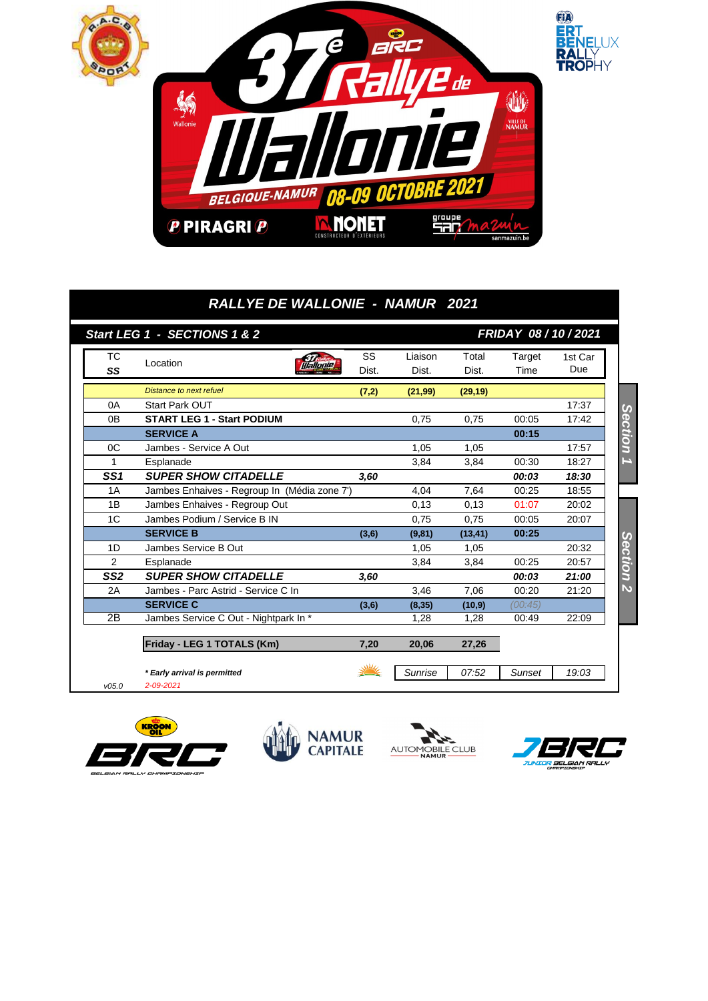

## *RALLYE DE WALLONIE - NAMUR 2021*

|                 | Start LEG 1 - SECTIONS 1 & 2                 |       |          |          | FRIDAY 08 / 10 / 2021 |         |
|-----------------|----------------------------------------------|-------|----------|----------|-----------------------|---------|
| ТC              | Location                                     | SS    | Liaison  | Total    | Target                | 1st Car |
| SS              | Illallonie                                   | Dist. | Dist.    | Dist.    | Time                  | Due     |
|                 | Distance to next refuel                      | (7,2) | (21, 99) | (29, 19) |                       |         |
| 0A              | <b>Start Park OUT</b>                        |       |          |          |                       | 17:37   |
| 0 <sub>B</sub>  | <b>START LEG 1 - Start PODIUM</b>            |       | 0,75     | 0,75     | 00:05                 | 17:42   |
|                 | <b>SERVICE A</b>                             |       |          |          | 00:15                 |         |
| OC              | Jambes - Service A Out                       |       | 1.05     | 1,05     |                       | 17:57   |
| 1               | Esplanade                                    |       | 3,84     | 3,84     | 00:30                 | 18:27   |
| SS <sub>1</sub> | <b>SUPER SHOW CITADELLE</b>                  | 3,60  |          |          | 00:03                 | 18:30   |
| 1A              | Jambes Enhaives - Regroup In (Média zone 7') |       | 4,04     | 7,64     | 00:25                 | 18:55   |
| 1B              | Jambes Enhaives - Regroup Out                |       | 0,13     | 0.13     | 01:07                 | 20:02   |
| 1C              | Jambes Podium / Service B IN                 |       | 0.75     | 0,75     | 00:05                 | 20:07   |
|                 | <b>SERVICE B</b>                             | (3,6) | (9, 81)  | (13, 41) | 00:25                 |         |
| 1D              | Jambes Service B Out                         |       | 1,05     | 1,05     |                       | 20:32   |
| 2               | Esplanade                                    |       | 3,84     | 3,84     | 00:25                 | 20:57   |
| SS <sub>2</sub> | <b>SUPER SHOW CITADELLE</b>                  | 3.60  |          |          | 00:03                 | 21:00   |
| 2A              | Jambes - Parc Astrid - Service C In          |       | 3,46     | 7,06     | 00:20                 | 21:20   |
|                 | <b>SERVICE C</b>                             | (3,6) | (8, 35)  | (10, 9)  | (00:45)               |         |
| 2B              | Jambes Service C Out - Nightpark In *        |       | 1.28     | 1,28     | 00:49                 | 22:09   |
|                 | Friday - LEG 1 TOTALS (Km)                   | 7,20  | 20,06    | 27,26    |                       |         |
|                 | * Early arrival is permitted                 |       | Sunrise  | 07:52    | Sunset                | 19:03   |
| V05.0           | 2-09-2021                                    |       |          |          |                       |         |